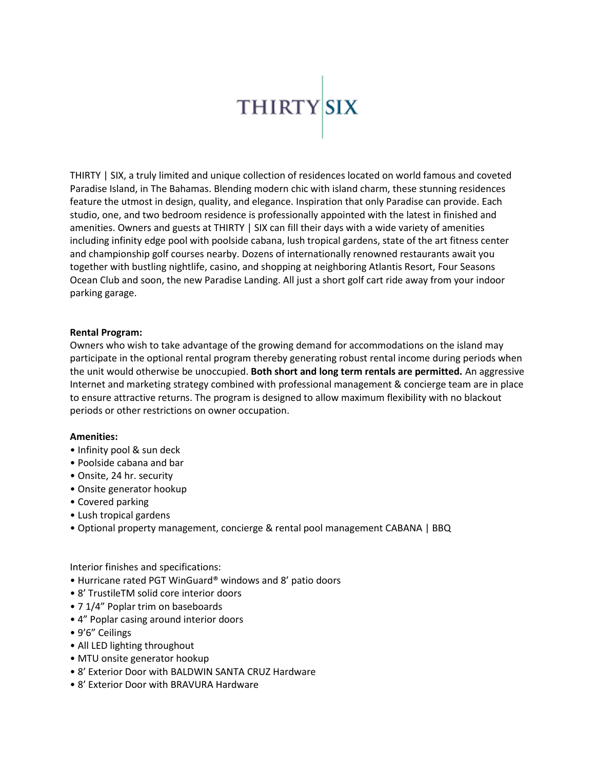

THIRTY | SIX, a truly limited and unique collection of residences located on world famous and coveted Paradise Island, in The Bahamas. Blending modern chic with island charm, these stunning residences feature the utmost in design, quality, and elegance. Inspiration that only Paradise can provide. Each studio, one, and two bedroom residence is professionally appointed with the latest in finished and amenities. Owners and guests at THIRTY | SIX can fill their days with a wide variety of amenities including infinity edge pool with poolside cabana, lush tropical gardens, state of the art fitness center and championship golf courses nearby. Dozens of internationally renowned restaurants await you together with bustling nightlife, casino, and shopping at neighboring Atlantis Resort, Four Seasons Ocean Club and soon, the new Paradise Landing. All just a short golf cart ride away from your indoor parking garage.

## **Rental Program:**

Owners who wish to take advantage of the growing demand for accommodations on the island may participate in the optional rental program thereby generating robust rental income during periods when the unit would otherwise be unoccupied. **Both short and long term rentals are permitted.** An aggressive Internet and marketing strategy combined with professional management & concierge team are in place to ensure attractive returns. The program is designed to allow maximum flexibility with no blackout periods or other restrictions on owner occupation.

## **Amenities:**

- Infinity pool & sun deck
- Poolside cabana and bar
- Onsite, 24 hr. security
- Onsite generator hookup
- Covered parking
- Lush tropical gardens
- Optional property management, concierge & rental pool management CABANA | BBQ

Interior finishes and specifications:

- Hurricane rated PGT WinGuard® windows and 8' patio doors
- 8' TrustileTM solid core interior doors
- 7 1/4" Poplar trim on baseboards
- 4" Poplar casing around interior doors
- 9'6" Ceilings
- All LED lighting throughout
- MTU onsite generator hookup
- 8' Exterior Door with BALDWIN SANTA CRUZ Hardware
- 8' Exterior Door with BRAVURA Hardware